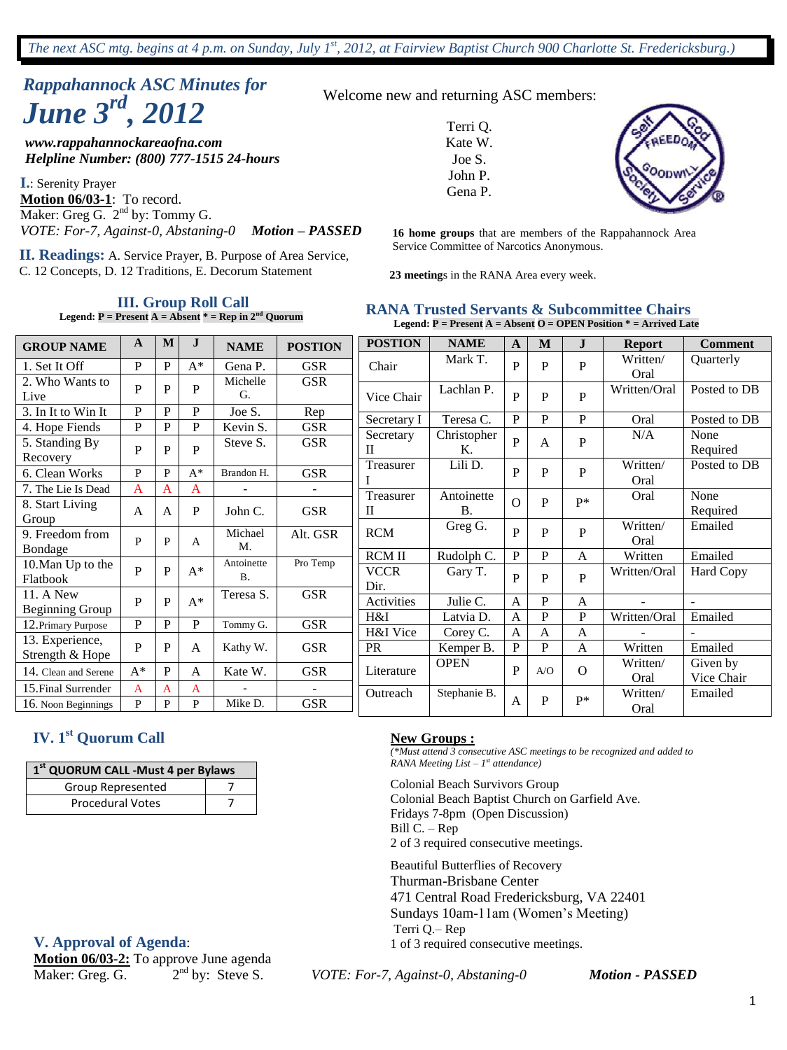# *Rappahannock ASC Minutes for June 3rd , 2012*

*www.rappahannockareaofna.com Helpline Number: (800) 777-1515 24-hours*

**I.**: Serenity Prayer **Motion 06/03-1**: To record. Maker: Greg G.  $2^{nd}$  by: Tommy G. *VOTE: For-7, Against-0, Abstaning-0 Motion – PASSED*

Service Committee of Narcotics Anonymous. **II. Readings:** A. Service Prayer, B. Purpose of Area Service, C. 12 Concepts, D. 12 Traditions, E. Decorum Statement

**III. Group Roll Call**

**Legend: P = Present A = Absent \* = Rep in 2nd Quorum**

|  |  | Welcome new and returning ASC members: |
|--|--|----------------------------------------|
|--|--|----------------------------------------|

Terri Q. Kate W. Joe S. John P. Gena P.



**16 home groups** that are members of the Rappahannock Area

**23 meeting**s in the RANA Area every week.

#### **RANA Trusted Servants & Subcommittee Chairs Legend: P = Present A = Absent O = OPEN Position \* = Arrived Late**

*(\*Must attend 3 consecutive ASC meetings to be recognized and added to* 

Colonial Beach Baptist Church on Garfield Ave.

471 Central Road Fredericksburg, VA 22401 Sundays 10am-11am (Women's Meeting)

| <b>GROUP NAME</b>             | A     | M            | $\mathbf{J}$   | <b>NAME</b>         | <b>POSTION</b> | <b>POSTION</b>      | <b>NAME</b>  | A            | M            | $\mathbf{J}$ | <b>Report</b>    | <b>Comment</b>   |
|-------------------------------|-------|--------------|----------------|---------------------|----------------|---------------------|--------------|--------------|--------------|--------------|------------------|------------------|
| 1. Set It Off                 | P     | $\mathbf{P}$ | $A^*$          | Gena P.<br>Michelle | <b>GSR</b>     | Chair               | Mark T.      | P            | P            | $\mathbf P$  | Written/<br>Oral | <b>Ouarterly</b> |
| 2. Who Wants to<br>Live       | P     | P            | P              | G.                  | <b>GSR</b>     | Vice Chair          | Lachlan P.   | $\mathbf{P}$ | P            | P            | Written/Oral     | Posted to DB     |
| 3. In It to Win It            | P     | $\mathbf{P}$ | P              | Joe S.              | Rep            | Secretary I         | Teresa C.    | $\, {\bf P}$ | P            | $\mathbf{P}$ | Oral             | Posted to DB     |
| 4. Hope Fiends                | P     | $\mathbf{P}$ | $\mathbf P$    | Kevin S.            | <b>GSR</b>     | Secretary           | Christopher  |              |              |              | N/A              | None             |
| 5. Standing By<br>Recovery    | P     | P            | P              | Steve S.            | <b>GSR</b>     | П                   | Κ.           | $\mathbf{P}$ | $\mathbf{A}$ | P            |                  | Required         |
| 6. Clean Works                | P     | P            | $A^*$          | Brandon H.          | <b>GSR</b>     | Treasurer           | Lili D.      | $\mathbf{P}$ | P            | P            | Written/<br>Oral | Posted to DB     |
| 7. The Lie Is Dead            | A     | A            | A              |                     |                | Treasurer           | Antoinette   |              |              |              | Oral             | None             |
| 8. Start Living<br>Group      | A     | A            | $\mathbf P$    | John C.             | <b>GSR</b>     | П                   | <b>B.</b>    | $\Omega$     | P            | $P*$         |                  | Required         |
| 9. Freedom from<br>Bondage    | P     | P            | A              | Michael<br>M.       | Alt. GSR       | <b>RCM</b>          | Greg G.      | $\mathbf{P}$ | P            | P            | Written/<br>Oral | Emailed          |
|                               |       |              |                | Antoinette          | Pro Temp       | <b>RCM II</b>       | Rudolph C.   | $\mathbf{P}$ | P            | A            | Written          | Emailed          |
| 10. Man Up to the<br>Flatbook | P     | P            | $A^*$          | <b>B.</b>           |                | <b>VCCR</b><br>Dir. | Gary T.      | $\mathbf{P}$ | P            | $\mathbf{P}$ | Written/Oral     | <b>Hard Copy</b> |
| 11. A New<br>Beginning Group  | P     | P            | $A^*$          | Teresa S.           | <b>GSR</b>     | Activities          | Julie C.     | A            | P            | A            |                  |                  |
| 12. Primary Purpose           | P     | $\mathbf{P}$ | P              | Tommy G.            | <b>GSR</b>     | H&I                 | Latvia D.    | A            | P            | $\mathbf P$  | Written/Oral     | Emailed          |
| 13. Experience,               |       |              |                |                     |                | H&I Vice            | Corey C.     | A            | A            | A            |                  |                  |
| Strength & Hope               | P     | $\mathbf{P}$ | $\overline{A}$ | Kathy W.            | <b>GSR</b>     | <b>PR</b>           | Kemper B.    | P            | P            | A            | Written          | Emailed          |
| 14. Clean and Serene          | $A^*$ | P            | A              | Kate W.             | <b>GSR</b>     | Literature          | <b>OPEN</b>  | P            | A/O          | $\Omega$     | Written/         | Given by         |
| 15. Final Surrender           | A     | $\mathsf{A}$ | A              |                     |                |                     |              |              |              |              | Oral             | Vice Chair       |
| 16. Noon Beginnings           | P     | P            | P              | Mike D.             | <b>GSR</b>     | Outreach            | Stephanie B. | A            | P            | $P*$         | Written/<br>Oral | Emailed          |

### **IV. 1st Quorum Call**

| 1 <sup>st</sup> QUORUM CALL -Must 4 per Bylaws |  |  |  |  |  |  |
|------------------------------------------------|--|--|--|--|--|--|
| Group Represented                              |  |  |  |  |  |  |
| <b>Procedural Votes</b>                        |  |  |  |  |  |  |

#### **V. Approval of Agenda**:

**Motion 06/03-2:** To approve June agenda<br>Maker: Greg. G. 2<sup>nd</sup> by: Steve S. Maker: Greg. G.

nd by: Steve S. *VOTE: For-7, Against-0, Abstaning-0 Motion - PASSED*

Terri Q.– Rep

**New Groups :**

Bill C. – Rep

*RANA Meeting List – 1 st attendance)* Colonial Beach Survivors Group

Fridays 7-8pm (Open Discussion)

2 of 3 required consecutive meetings. Beautiful Butterflies of Recovery Thurman-Brisbane Center

1 of 3 required consecutive meetings.

1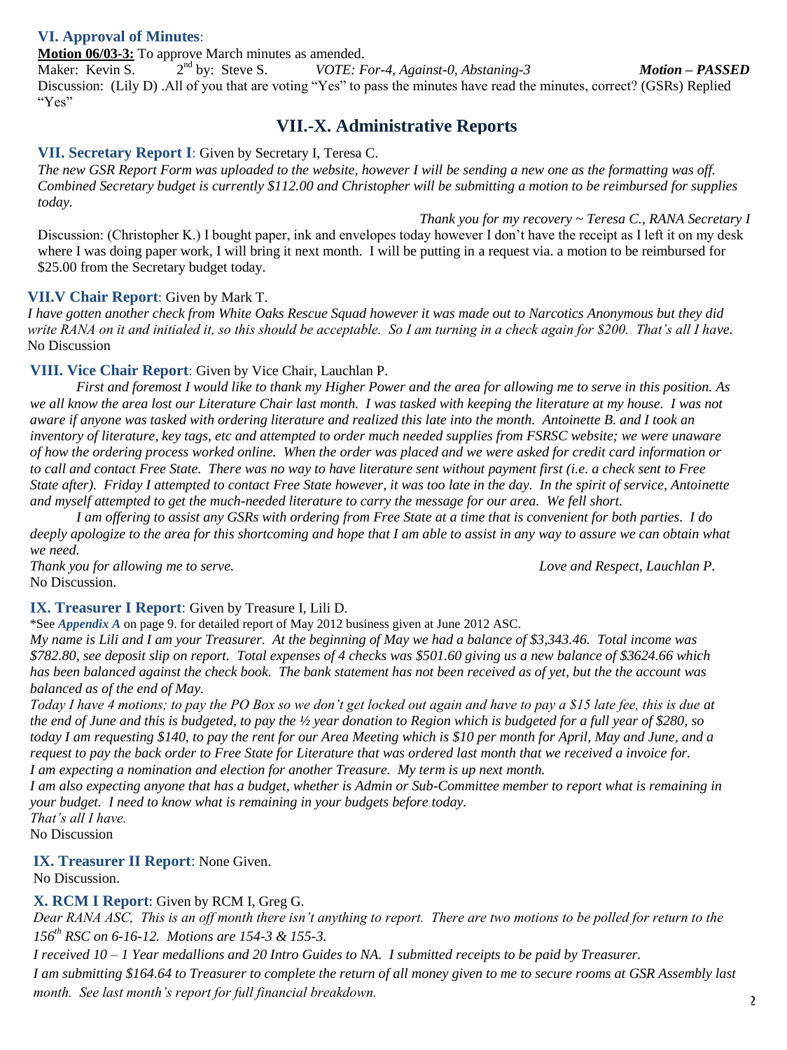#### **VI. Approval of Minutes**:

**Motion 06/03-3:** To approve March minutes as amended.<br>Maker: Kevin S. 2<sup>nd</sup> by: Steve S. *VOTE: F* Maker: Kevin S.  $VOTE: For-4, Against-0, Abstracting-3$  *Motion – PASSED* Discussion: (Lily D) .All of you that are voting "Yes" to pass the minutes have read the minutes, correct? (GSRs) Replied "Yes"

### **VII.-X. Administrative Reports**

#### **VII. Secretary Report I**: Given by Secretary I, Teresa C.

*The new GSR Report Form was uploaded to the website, however I will be sending a new one as the formatting was off. Combined Secretary budget is currently \$112.00 and Christopher will be submitting a motion to be reimbursed for supplies today.*

*Thank you for my recovery ~ Teresa C., RANA Secretary I* Discussion: (Christopher K.) I bought paper, ink and envelopes today however I don't have the receipt as I left it on my desk where I was doing paper work, I will bring it next month. I will be putting in a request via. a motion to be reimbursed for \$25.00 from the Secretary budget today.

#### **VII.V Chair Report**: Given by Mark T.

*I have gotten another check from White Oaks Rescue Squad however it was made out to Narcotics Anonymous but they did write RANA on it and initialed it, so this should be acceptable. So I am turning in a check again for \$200. That's all I have.* No Discussion

#### **VIII. Vice Chair Report**: Given by Vice Chair, Lauchlan P.

*First and foremost I would like to thank my Higher Power and the area for allowing me to serve in this position. As we all know the area lost our Literature Chair last month. I was tasked with keeping the literature at my house. I was not aware if anyone was tasked with ordering literature and realized this late into the month. Antoinette B. and I took an inventory of literature, key tags, etc and attempted to order much needed supplies from FSRSC website; we were unaware of how the ordering process worked online. When the order was placed and we were asked for credit card information or to call and contact Free State. There was no way to have literature sent without payment first (i.e. a check sent to Free State after). Friday I attempted to contact Free State however, it was too late in the day. In the spirit of service, Antoinette and myself attempted to get the much-needed literature to carry the message for our area. We fell short.* 

*I am offering to assist any GSRs with ordering from Free State at a time that is convenient for both parties. I do deeply apologize to the area for this shortcoming and hope that I am able to assist in any way to assure we can obtain what we need.*

*Thank you for allowing me to serve. Love and Respect, Lauchlan P.* No Discussion.

#### **IX. Treasurer I Report**: Given by Treasure I, Lili D.

\*See *Appendix A* on page 9. for detailed report of May 2012 business given at June 2012 ASC.

*My name is Lili and I am your Treasurer. At the beginning of May we had a balance of \$3,343.46. Total income was \$782.80, see deposit slip on report. Total expenses of 4 checks was \$501.60 giving us a new balance of \$3624.66 which has been balanced against the check book. The bank statement has not been received as of yet, but the the account was balanced as of the end of May.*

*Today I have 4 motions; to pay the PO Box so we don't get locked out again and have to pay a \$15 late fee, this is due at the end of June and this is budgeted, to pay the ½ year donation to Region which is budgeted for a full year of \$280, so today I am requesting \$140, to pay the rent for our Area Meeting which is \$10 per month for April, May and June, and a request to pay the back order to Free State for Literature that was ordered last month that we received a invoice for. I am expecting a nomination and election for another Treasure. My term is up next month.*

*I am also expecting anyone that has a budget, whether is Admin or Sub-Committee member to report what is remaining in your budget. I need to know what is remaining in your budgets before today.*

*That's all I have.*

No Discussion

**IX. Treasurer II Report**: None Given.

No Discussion.

#### **X. RCM I Report**: Given by RCM I, Greg G.

*Dear RANA ASC, This is an off month there isn't anything to report. There are two motions to be polled for return to the 156th RSC on 6-16-12. Motions are 154-3 & 155-3.*

*I received 10 – 1 Year medallions and 20 Intro Guides to NA. I submitted receipts to be paid by Treasurer.*

*I am submitting \$164.64 to Treasurer to complete the return of all money given to me to secure rooms at GSR Assembly last month. See last month's report for full financial breakdown.*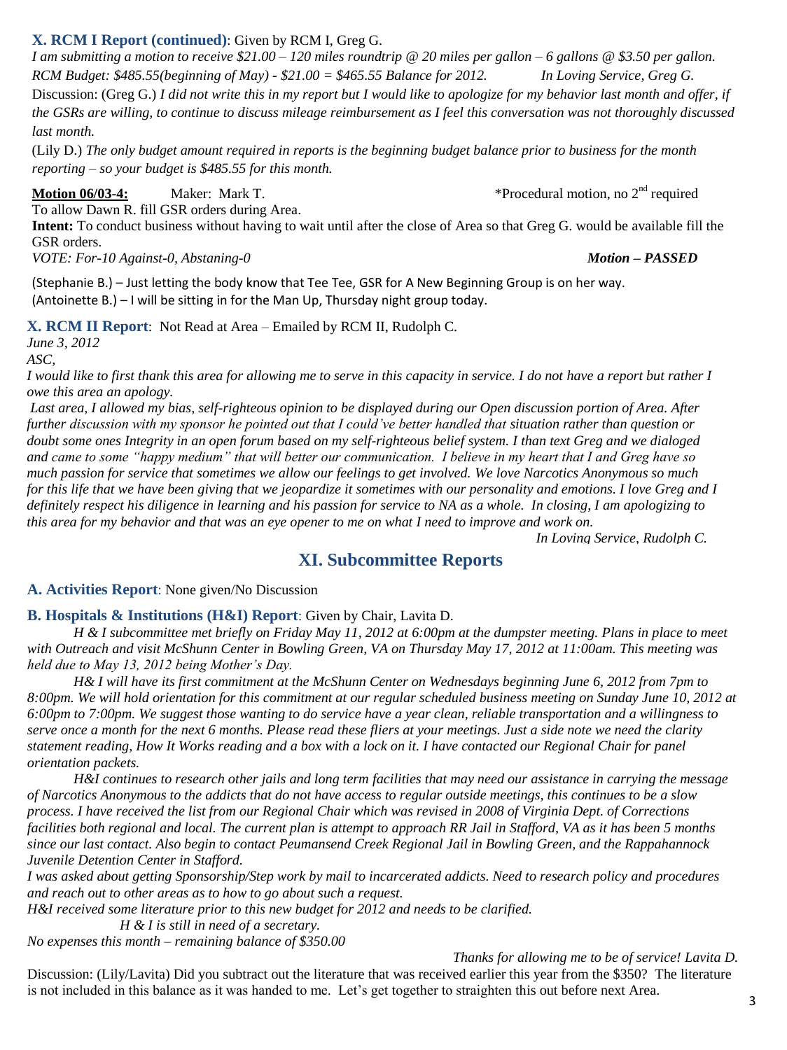#### **X. RCM I Report (continued)**: Given by RCM I, Greg G.

*I am submitting a motion to receive \$21.00 – 120 miles roundtrip @ 20 miles per gallon – 6 gallons @ \$3.50 per gallon. RCM Budget: \$485.55(beginning of May) - \$21.00 = \$465.55 Balance for 2012. In Loving Service, Greg G.* Discussion: (Greg G.) *I did not write this in my report but I would like to apologize for my behavior last month and offer, if the GSRs are willing, to continue to discuss mileage reimbursement as I feel this conversation was not thoroughly discussed last month.*

(Lily D.) *The only budget amount required in reports is the beginning budget balance prior to business for the month reporting – so your budget is \$485.55 for this month.*

**Motion 06/03-4:** Maker: Mark T.  $*$ Procedural motion, no 2<sup>nd</sup> required

To allow Dawn R. fill GSR orders during Area.

**Intent:** To conduct business without having to wait until after the close of Area so that Greg G. would be available fill the GSR orders.

*VOTE: For-10 Against-0, Abstaning-0 Motion – PASSED*

(Stephanie B.) – Just letting the body know that Tee Tee, GSR for A New Beginning Group is on her way. (Antoinette B.) – I will be sitting in for the Man Up, Thursday night group today.

**X. RCM II Report**: Not Read at Area – Emailed by RCM II, Rudolph C.

*June 3, 2012*

*ASC,*

*I would like to first thank this area for allowing me to serve in this capacity in service. I do not have a report but rather I owe this area an apology.*

*Last area, I allowed my bias, self-righteous opinion to be displayed during our Open discussion portion of Area. After further discussion with my sponsor he pointed out that I could've better handled that situation rather than question or doubt some ones Integrity in an open forum based on my self-righteous belief system. I than text Greg and we dialoged and came to some "happy medium" that will better our communication. I believe in my heart that I and Greg have so much passion for service that sometimes we allow our feelings to get involved. We love Narcotics Anonymous so much for this life that we have been giving that we jeopardize it sometimes with our personality and emotions. I love Greg and I definitely respect his diligence in learning and his passion for service to NA as a whole. In closing, I am apologizing to this area for my behavior and that was an eye opener to me on what I need to improve and work on.* 

*In Loving Service, Rudolph C.*

### **XI. Subcommittee Reports**

**A. Activities Report**: None given/No Discussion

#### **B. Hospitals & Institutions (H&I) Report**: Given by Chair, Lavita D.

*H & I subcommittee met briefly on Friday May 11, 2012 at 6:00pm at the dumpster meeting. Plans in place to meet with Outreach and visit McShunn Center in Bowling Green, VA on Thursday May 17, 2012 at 11:00am. This meeting was held due to May 13, 2012 being Mother's Day.*

*H& I will have its first commitment at the McShunn Center on Wednesdays beginning June 6, 2012 from 7pm to 8:00pm. We will hold orientation for this commitment at our regular scheduled business meeting on Sunday June 10, 2012 at 6:00pm to 7:00pm. We suggest those wanting to do service have a year clean, reliable transportation and a willingness to serve once a month for the next 6 months. Please read these fliers at your meetings. Just a side note we need the clarity statement reading, How It Works reading and a box with a lock on it. I have contacted our Regional Chair for panel orientation packets.*

*H&I continues to research other jails and long term facilities that may need our assistance in carrying the message of Narcotics Anonymous to the addicts that do not have access to regular outside meetings, this continues to be a slow process. I have received the list from our Regional Chair which was revised in 2008 of Virginia Dept. of Corrections facilities both regional and local. The current plan is attempt to approach RR Jail in Stafford, VA as it has been 5 months since our last contact. Also begin to contact Peumansend Creek Regional Jail in Bowling Green, and the Rappahannock Juvenile Detention Center in Stafford.*

*I was asked about getting Sponsorship/Step work by mail to incarcerated addicts. Need to research policy and procedures and reach out to other areas as to how to go about such a request.*

*H&I received some literature prior to this new budget for 2012 and needs to be clarified.*

*H & I is still in need of a secretary.*

*No expenses this month – remaining balance of \$350.00*

#### *Thanks for allowing me to be of service! Lavita D.*

Discussion: (Lily/Lavita) Did you subtract out the literature that was received earlier this year from the \$350? The literature is not included in this balance as it was handed to me. Let's get together to straighten this out before next Area.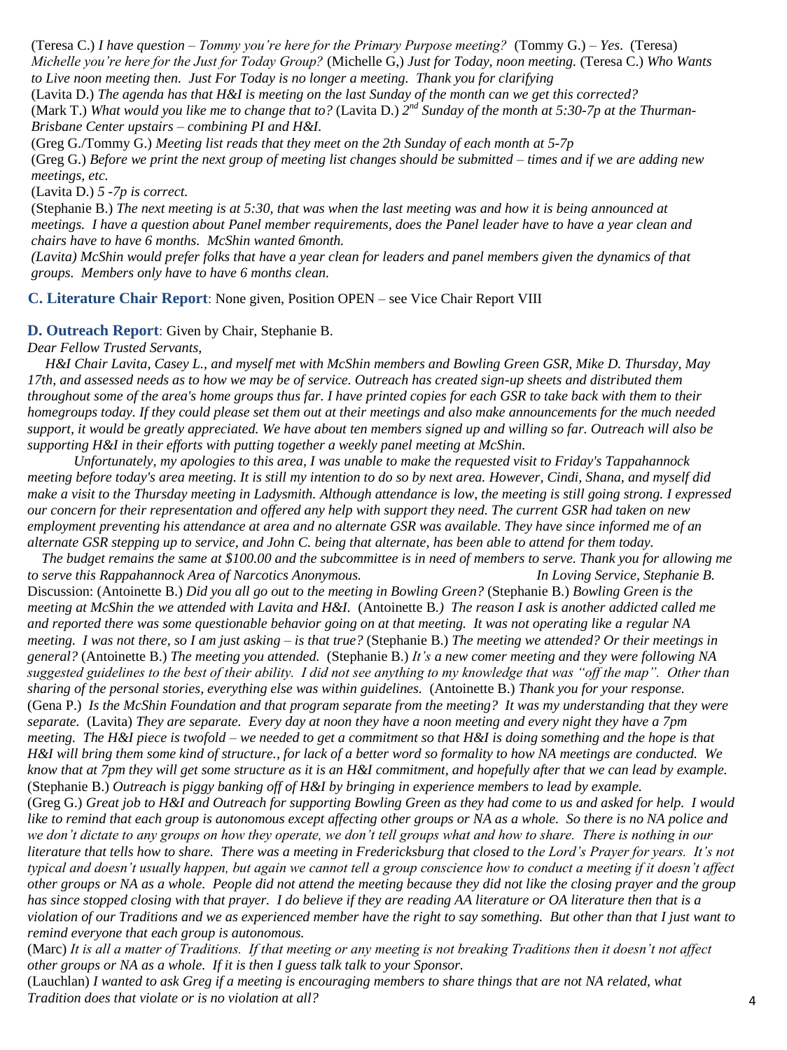(Teresa C.) *I have question – Tommy you're here for the Primary Purpose meeting?* (Tommy G.) – *Yes*. (Teresa) *Michelle you're here for the Just for Today Group?* (Michelle G,) *Just for Today, noon meeting.* (Teresa C.) *Who Wants to Live noon meeting then. Just For Today is no longer a meeting. Thank you for clarifying*

(Lavita D.) *The agenda has that H&I is meeting on the last Sunday of the month can we get this corrected?* (Mark T.) What would you like me to change that to? (Lavita D.) 2<sup>nd</sup> Sunday of the month at 5:30-7p at the Thurman-*Brisbane Center upstairs – combining PI and H&I.*

(Greg G./Tommy G.) *Meeting list reads that they meet on the 2th Sunday of each month at 5-7p* (Greg G.) *Before we print the next group of meeting list changes should be submitted – times and if we are adding new meetings, etc.*

(Lavita D.) *5 -7p is correct.*

(Stephanie B.) *The next meeting is at 5:30, that was when the last meeting was and how it is being announced at meetings. I have a question about Panel member requirements, does the Panel leader have to have a year clean and chairs have to have 6 months. McShin wanted 6month.*

*(Lavita) McShin would prefer folks that have a year clean for leaders and panel members given the dynamics of that groups. Members only have to have 6 months clean.*

**C. Literature Chair Report**: None given, Position OPEN – see Vice Chair Report VIII

#### **D. Outreach Report**: Given by Chair, Stephanie B.

*Dear Fellow Trusted Servants,*

 *H&I Chair Lavita, Casey L., and myself met with McShin members and Bowling Green GSR, Mike D. Thursday, May 17th, and assessed needs as to how we may be of service. Outreach has created sign-up sheets and distributed them throughout some of the area's home groups thus far. I have printed copies for each GSR to take back with them to their homegroups today. If they could please set them out at their meetings and also make announcements for the much needed support, it would be greatly appreciated. We have about ten members signed up and willing so far. Outreach will also be supporting H&I in their efforts with putting together a weekly panel meeting at McShin.*

*Unfortunately, my apologies to this area, I was unable to make the requested visit to Friday's Tappahannock meeting before today's area meeting. It is still my intention to do so by next area. However, Cindi, Shana, and myself did make a visit to the Thursday meeting in Ladysmith. Although attendance is low, the meeting is still going strong. I expressed our concern for their representation and offered any help with support they need. The current GSR had taken on new employment preventing his attendance at area and no alternate GSR was available. They have since informed me of an alternate GSR stepping up to service, and John C. being that alternate, has been able to attend for them today.*

 *The budget remains the same at \$100.00 and the subcommittee is in need of members to serve. Thank you for allowing me to serve this Rappahannock Area of Narcotics Anonymous. In Loving Service, Stephanie B.* Discussion: (Antoinette B.) *Did you all go out to the meeting in Bowling Green?* (Stephanie B.) *Bowling Green is the meeting at McShin the we attended with Lavita and H&I.* (Antoinette B*.) The reason I ask is another addicted called me and reported there was some questionable behavior going on at that meeting. It was not operating like a regular NA meeting. I was not there, so I am just asking – is that true?* (Stephanie B.) *The meeting we attended? Or their meetings in general?* (Antoinette B.) *The meeting you attended.* (Stephanie B.) *It's a new comer meeting and they were following NA suggested guidelines to the best of their ability. I did not see anything to my knowledge that was "off the map". Other than sharing of the personal stories, everything else was within guidelines.* (Antoinette B.) *Thank you for your response.* (Gena P.) *Is the McShin Foundation and that program separate from the meeting? It was my understanding that they were separate.* (Lavita) *They are separate. Every day at noon they have a noon meeting and every night they have a 7pm meeting. The H&I piece is twofold – we needed to get a commitment so that H&I is doing something and the hope is that H&I will bring them some kind of structure., for lack of a better word so formality to how NA meetings are conducted. We know that at 7pm they will get some structure as it is an H&I commitment, and hopefully after that we can lead by example.* (Stephanie B.) *Outreach is piggy banking off of H&I by bringing in experience members to lead by example.*

(Greg G.) *Great job to H&I and Outreach for supporting Bowling Green as they had come to us and asked for help. I would like to remind that each group is autonomous except affecting other groups or NA as a whole. So there is no NA police and we don't dictate to any groups on how they operate, we don't tell groups what and how to share. There is nothing in our literature that tells how to share. There was a meeting in Fredericksburg that closed to the Lord's Prayer for years. It's not typical and doesn't usually happen, but again we cannot tell a group conscience how to conduct a meeting if it doesn't affect other groups or NA as a whole. People did not attend the meeting because they did not like the closing prayer and the group has since stopped closing with that prayer. I do believe if they are reading AA literature or OA literature then that is a violation of our Traditions and we as experienced member have the right to say something. But other than that I just want to remind everyone that each group is autonomous.*

(Marc) *It is all a matter of Traditions. If that meeting or any meeting is not breaking Traditions then it doesn't not affect other groups or NA as a whole. If it is then I guess talk talk to your Sponsor.*

(Lauchlan) *I wanted to ask Greg if a meeting is encouraging members to share things that are not NA related, what Tradition does that violate or is no violation at all?*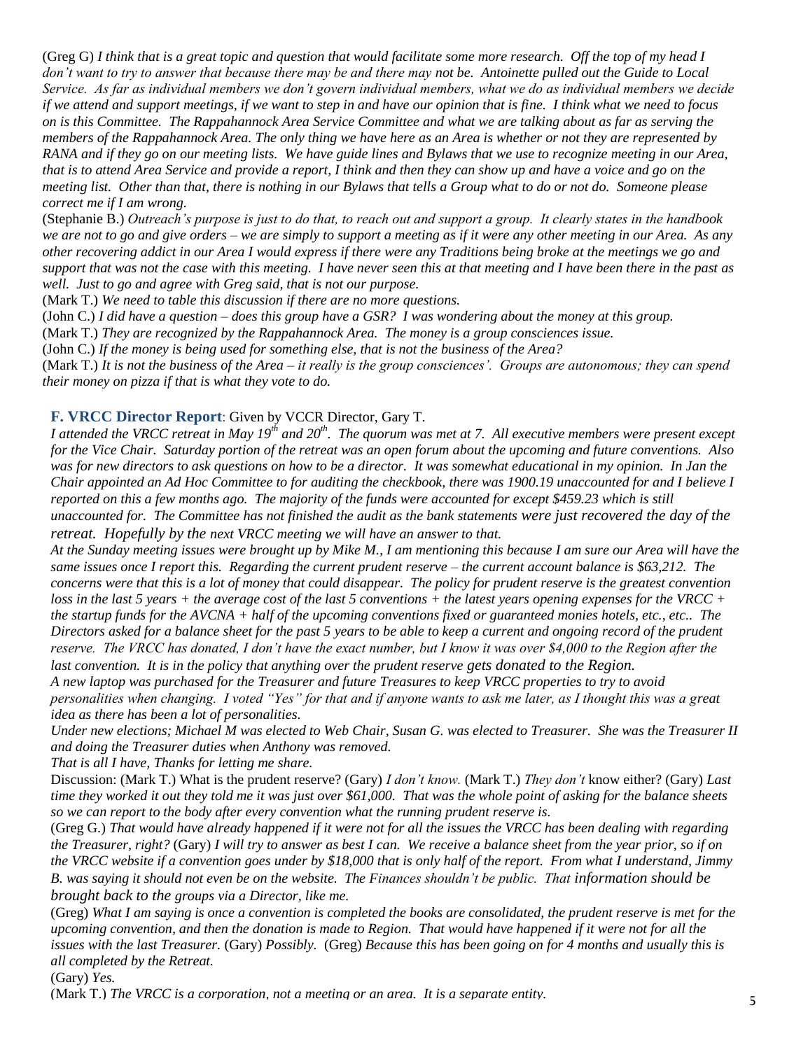(Greg G) *I think that is a great topic and question that would facilitate some more research. Off the top of my head I don't want to try to answer that because there may be and there may not be. Antoinette pulled out the Guide to Local Service. As far as individual members we don't govern individual members, what we do as individual members we decide if we attend and support meetings, if we want to step in and have our opinion that is fine. I think what we need to focus on is this Committee. The Rappahannock Area Service Committee and what we are talking about as far as serving the members of the Rappahannock Area. The only thing we have here as an Area is whether or not they are represented by RANA and if they go on our meeting lists. We have guide lines and Bylaws that we use to recognize meeting in our Area, that is to attend Area Service and provide a report, I think and then they can show up and have a voice and go on the meeting list. Other than that, there is nothing in our Bylaws that tells a Group what to do or not do. Someone please correct me if I am wrong.*

(Stephanie B.) *Outreach's purpose is just to do that, to reach out and support a group. It clearly states in the handbook we are not to go and give orders – we are simply to support a meeting as if it were any other meeting in our Area. As any other recovering addict in our Area I would express if there were any Traditions being broke at the meetings we go and support that was not the case with this meeting. I have never seen this at that meeting and I have been there in the past as well. Just to go and agree with Greg said, that is not our purpose.*

(Mark T.) *We need to table this discussion if there are no more questions.*

(John C.) *I did have a question – does this group have a GSR? I was wondering about the money at this group.*

(Mark T.) *They are recognized by the Rappahannock Area. The money is a group consciences issue.*

(John C.) *If the money is being used for something else, that is not the business of the Area?*

(Mark T.) *It is not the business of the Area – it really is the group consciences'. Groups are autonomous; they can spend their money on pizza if that is what they vote to do.*

#### **F. VRCC Director Report**: Given by VCCR Director, Gary T.

*I attended the VRCC retreat in May 19th and 20th. The quorum was met at 7. All executive members were present except for the Vice Chair. Saturday portion of the retreat was an open forum about the upcoming and future conventions. Also was for new directors to ask questions on how to be a director. It was somewhat educational in my opinion. In Jan the Chair appointed an Ad Hoc Committee to for auditing the checkbook, there was 1900.19 unaccounted for and I believe I reported on this a few months ago. The majority of the funds were accounted for except \$459.23 which is still unaccounted for. The Committee has not finished the audit as the bank statements were just recovered the day of the retreat. Hopefully by the next VRCC meeting we will have an answer to that.*

*At the Sunday meeting issues were brought up by Mike M., I am mentioning this because I am sure our Area will have the same issues once I report this. Regarding the current prudent reserve – the current account balance is \$63,212. The concerns were that this is a lot of money that could disappear. The policy for prudent reserve is the greatest convention loss in the last 5 years + the average cost of the last 5 conventions + the latest years opening expenses for the VRCC + the startup funds for the AVCNA + half of the upcoming conventions fixed or guaranteed monies hotels, etc., etc.. The Directors asked for a balance sheet for the past 5 years to be able to keep a current and ongoing record of the prudent reserve. The VRCC has donated, I don't have the exact number, but I know it was over \$4,000 to the Region after the last convention. It is in the policy that anything over the prudent reserve gets donated to the Region.*

*A new laptop was purchased for the Treasurer and future Treasures to keep VRCC properties to try to avoid personalities when changing. I voted "Yes" for that and if anyone wants to ask me later, as I thought this was a great idea as there has been a lot of personalities.*

*Under new elections; Michael M was elected to Web Chair, Susan G. was elected to Treasurer. She was the Treasurer II and doing the Treasurer duties when Anthony was removed.*

*That is all I have, Thanks for letting me share.*

Discussion: (Mark T.) What is the prudent reserve? (Gary) *I don't know.* (Mark T.) *They don't* know either? (Gary) *Last time they worked it out they told me it was just over \$61,000. That was the whole point of asking for the balance sheets so we can report to the body after every convention what the running prudent reserve is.*

(Greg G.) *That would have already happened if it were not for all the issues the VRCC has been dealing with regarding the Treasurer, right?* (Gary) *I will try to answer as best I can. We receive a balance sheet from the year prior, so if on the VRCC website if a convention goes under by \$18,000 that is only half of the report. From what I understand, Jimmy B. was saying it should not even be on the website. The Finances shouldn't be public. That information should be brought back to the groups via a Director, like me.* 

(Greg) *What I am saying is once a convention is completed the books are consolidated, the prudent reserve is met for the upcoming convention, and then the donation is made to Region. That would have happened if it were not for all the issues with the last Treasurer.* (Gary) *Possibly.* (Greg) *Because this has been going on for 4 months and usually this is all completed by the Retreat.*

(Gary) *Yes.*

(Mark T.) *The VRCC is a corporation, not a meeting or an area. It is a separate entity.*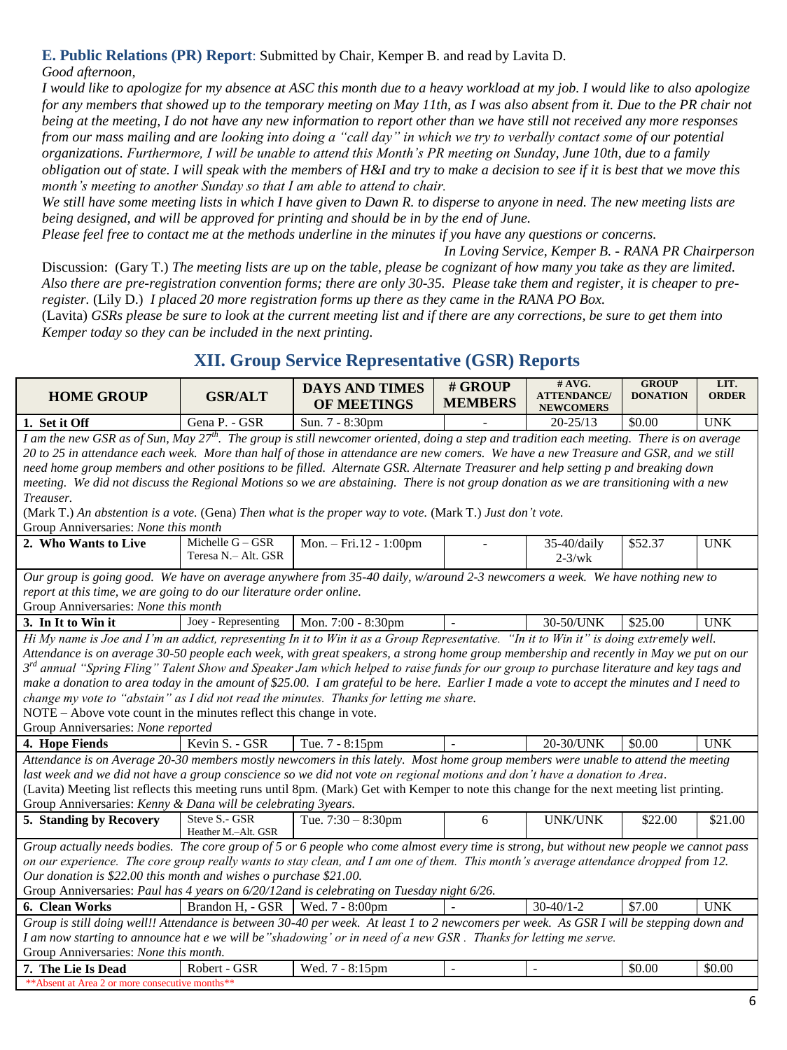# **E. Public Relations (PR) Report**: Submitted by Chair, Kemper B. and read by Lavita D.

*Good afternoon,*

*I would like to apologize for my absence at ASC this month due to a heavy workload at my job. I would like to also apologize for any members that showed up to the temporary meeting on May 11th, as I was also absent from it. Due to the PR chair not being at the meeting, I do not have any new information to report other than we have still not received any more responses from our mass mailing and are looking into doing a "call day" in which we try to verbally contact some of our potential organizations. Furthermore, I will be unable to attend this Month's PR meeting on Sunday, June 10th, due to a family obligation out of state. I will speak with the members of H&I and try to make a decision to see if it is best that we move this month's meeting to another Sunday so that I am able to attend to chair.*

*We still have some meeting lists in which I have given to Dawn R. to disperse to anyone in need. The new meeting lists are being designed, and will be approved for printing and should be in by the end of June.*

*Please feel free to contact me at the methods underline in the minutes if you have any questions or concerns.*

*In Loving Service, Kemper B. - RANA PR Chairperson*

Discussion: (Gary T.) *The meeting lists are up on the table, please be cognizant of how many you take as they are limited. Also there are pre-registration convention forms; there are only 30-35. Please take them and register, it is cheaper to preregister.* (Lily D.) *I placed 20 more registration forms up there as they came in the RANA PO Box.*

(Lavita) *GSRs please be sure to look at the current meeting list and if there are any corrections, be sure to get them into Kemper today so they can be included in the next printing.*

## **XII. Group Service Representative (GSR) Reports**

| <b>HOME GROUP</b>                                                                                                                                                                                                                                                                                                                                                                                                                                                                                                                                                                                                                                                                                                                                                                                                                                                                                                                                                                                                                                                                                                                                              | <b>GSR/ALT</b>                                                                                                                                                                                                                                                                                        | <b>DAYS AND TIMES</b><br><b>OF MEETINGS</b> | # GROUP<br><b>MEMBERS</b> | # AVG.<br><b>GROUP</b><br><b>ATTENDANCE/</b><br><b>DONATION</b><br><b>NEWCOMERS</b> |         | LIT.<br><b>ORDER</b> |  |  |  |
|----------------------------------------------------------------------------------------------------------------------------------------------------------------------------------------------------------------------------------------------------------------------------------------------------------------------------------------------------------------------------------------------------------------------------------------------------------------------------------------------------------------------------------------------------------------------------------------------------------------------------------------------------------------------------------------------------------------------------------------------------------------------------------------------------------------------------------------------------------------------------------------------------------------------------------------------------------------------------------------------------------------------------------------------------------------------------------------------------------------------------------------------------------------|-------------------------------------------------------------------------------------------------------------------------------------------------------------------------------------------------------------------------------------------------------------------------------------------------------|---------------------------------------------|---------------------------|-------------------------------------------------------------------------------------|---------|----------------------|--|--|--|
| 1. Set it Off                                                                                                                                                                                                                                                                                                                                                                                                                                                                                                                                                                                                                                                                                                                                                                                                                                                                                                                                                                                                                                                                                                                                                  | Gena P. - GSR                                                                                                                                                                                                                                                                                         | Sun. 7 - 8:30pm                             |                           | $20 - 25/13$                                                                        | \$0.00  | <b>UNK</b>           |  |  |  |
| I am the new GSR as of Sun, May $27^{th}$ . The group is still newcomer oriented, doing a step and tradition each meeting. There is on average<br>20 to 25 in attendance each week. More than half of those in attendance are new comers. We have a new Treasure and GSR, and we still<br>need home group members and other positions to be filled. Alternate GSR. Alternate Treasurer and help setting p and breaking down<br>meeting. We did not discuss the Regional Motions so we are abstaining. There is not group donation as we are transitioning with a new<br>Treauser.<br>(Mark T.) An abstention is a vote. (Gena) Then what is the proper way to vote. (Mark T.) Just don't vote.<br>Group Anniversaries: None this month<br>Michelle $G - GSR$<br>Mon. - Fri.12 - 1:00pm<br>2. Who Wants to Live<br>35-40/daily<br><b>UNK</b><br>\$52.37<br>Teresa N.- Alt. GSR<br>$2-3/wk$<br>Our group is going good. We have on average anywhere from 35-40 daily, w/around 2-3 newcomers a week. We have nothing new to<br>report at this time, we are going to do our literature order online.<br>Group Anniversaries: None this month                      |                                                                                                                                                                                                                                                                                                       |                                             |                           |                                                                                     |         |                      |  |  |  |
| 3. In It to Win it                                                                                                                                                                                                                                                                                                                                                                                                                                                                                                                                                                                                                                                                                                                                                                                                                                                                                                                                                                                                                                                                                                                                             | Joey - Representing                                                                                                                                                                                                                                                                                   | Mon. 7:00 - 8:30pm                          |                           | 30-50/UNK                                                                           | \$25.00 | <b>UNK</b>           |  |  |  |
| Hi My name is Joe and I'm an addict, representing In it to Win it as a Group Representative. "In it to Win it" is doing extremely well.<br>Attendance is on average 30-50 people each week, with great speakers, a strong home group membership and recently in May we put on our<br>3 <sup>rd</sup> annual "Spring Fling" Talent Show and Speaker Jam which helped to raise funds for our group to purchase literature and key tags and<br>make a donation to area today in the amount of \$25.00. I am grateful to be here. Earlier I made a vote to accept the minutes and I need to<br>change my vote to "abstain" as I did not read the minutes. Thanks for letting me share.<br>NOTE – Above vote count in the minutes reflect this change in vote.<br>Group Anniversaries: None reported<br>20-30/UNK<br>4. Hope Fiends<br>Kevin S. - GSR<br>Tue. 7 - 8:15pm<br>\$0.00<br><b>UNK</b><br>Attendance is on Average 20-30 members mostly newcomers in this lately. Most home group members were unable to attend the meeting<br>last week and we did not have a group conscience so we did not vote on regional motions and don't have a donation to Area. |                                                                                                                                                                                                                                                                                                       |                                             |                           |                                                                                     |         |                      |  |  |  |
| (Lavita) Meeting list reflects this meeting runs until 8pm. (Mark) Get with Kemper to note this change for the next meeting list printing.<br>Group Anniversaries: Kenny & Dana will be celebrating 3years.                                                                                                                                                                                                                                                                                                                                                                                                                                                                                                                                                                                                                                                                                                                                                                                                                                                                                                                                                    |                                                                                                                                                                                                                                                                                                       |                                             |                           |                                                                                     |         |                      |  |  |  |
| 5. Standing by Recovery                                                                                                                                                                                                                                                                                                                                                                                                                                                                                                                                                                                                                                                                                                                                                                                                                                                                                                                                                                                                                                                                                                                                        | Steve S.- GSR<br>Heather M.-Alt. GSR                                                                                                                                                                                                                                                                  | Tue. $7:30 - 8:30$ pm                       | 6                         | <b>UNK/UNK</b>                                                                      | \$22.00 | \$21.00              |  |  |  |
| Group actually needs bodies. The core group of 5 or 6 people who come almost every time is strong, but without new people we cannot pass<br>on our experience. The core group really wants to stay clean, and I am one of them. This month's average attendance dropped from 12.<br>Our donation is \$22.00 this month and wishes o purchase \$21.00.<br>Group Anniversaries: Paul has 4 years on 6/20/12and is celebrating on Tuesday night 6/26.                                                                                                                                                                                                                                                                                                                                                                                                                                                                                                                                                                                                                                                                                                             |                                                                                                                                                                                                                                                                                                       |                                             |                           |                                                                                     |         |                      |  |  |  |
| 6. Clean Works                                                                                                                                                                                                                                                                                                                                                                                                                                                                                                                                                                                                                                                                                                                                                                                                                                                                                                                                                                                                                                                                                                                                                 | Brandon H, - GSR                                                                                                                                                                                                                                                                                      | Wed. 7 - 8:00pm                             |                           | $30-40/1-2$                                                                         | \$7.00  | <b>UNK</b>           |  |  |  |
|                                                                                                                                                                                                                                                                                                                                                                                                                                                                                                                                                                                                                                                                                                                                                                                                                                                                                                                                                                                                                                                                                                                                                                | Group is still doing well!! Attendance is between 30-40 per week. At least 1 to 2 newcomers per week. As GSR I will be stepping down and<br>I am now starting to announce hat e we will be "shadowing' or in need of a new GSR. Thanks for letting me serve.<br>Group Anniversaries: None this month. |                                             |                           |                                                                                     |         |                      |  |  |  |
| 7. The Lie Is Dead<br>** Absent at Area 2 or more consecutive months**                                                                                                                                                                                                                                                                                                                                                                                                                                                                                                                                                                                                                                                                                                                                                                                                                                                                                                                                                                                                                                                                                         | Robert - GSR                                                                                                                                                                                                                                                                                          | Wed. 7 - 8:15pm                             | $\sim$                    |                                                                                     | \$0.00  | \$0.00               |  |  |  |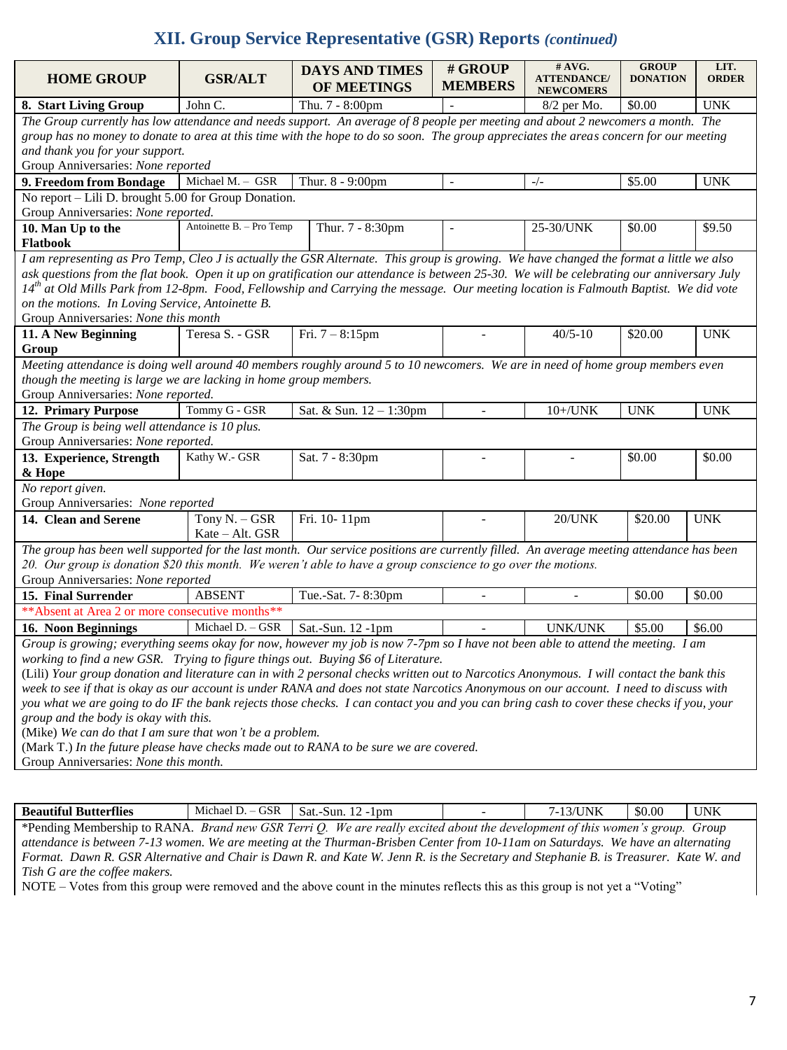## **XII. Group Service Representative (GSR) Reports** *(continued)*

| <b>HOME GROUP</b>                                                                                                                          | <b>GSR/ALT</b>                                                                                                                         | <b>DAYS AND TIMES</b><br>OF MEETINGS | # GROUP<br><b>MEMBERS</b> | # AVG.<br><b>ATTENDANCE/</b>      | <b>GROUP</b><br><b>DONATION</b> | LIT.<br><b>ORDER</b> |  |  |  |  |
|--------------------------------------------------------------------------------------------------------------------------------------------|----------------------------------------------------------------------------------------------------------------------------------------|--------------------------------------|---------------------------|-----------------------------------|---------------------------------|----------------------|--|--|--|--|
| 8. Start Living Group                                                                                                                      | John C.                                                                                                                                | Thu. 7 - 8:00pm                      |                           | <b>NEWCOMERS</b><br>$8/2$ per Mo. | \$0.00                          | <b>UNK</b>           |  |  |  |  |
| The Group currently has low attendance and needs support. An average of 8 people per meeting and about 2 newcomers a month. The            |                                                                                                                                        |                                      |                           |                                   |                                 |                      |  |  |  |  |
| group has no money to donate to area at this time with the hope to do so soon. The group appreciates the areas concern for our meeting     |                                                                                                                                        |                                      |                           |                                   |                                 |                      |  |  |  |  |
| and thank you for your support.                                                                                                            |                                                                                                                                        |                                      |                           |                                   |                                 |                      |  |  |  |  |
| Group Anniversaries: None reported                                                                                                         |                                                                                                                                        |                                      |                           |                                   |                                 |                      |  |  |  |  |
| 9. Freedom from Bondage                                                                                                                    | Michael M. - GSR                                                                                                                       | Thur. 8 - 9:00pm                     | $\overline{\phantom{a}}$  | $-/-$                             | \$5.00                          | <b>UNK</b>           |  |  |  |  |
|                                                                                                                                            | No report – Lili D. brought 5.00 for Group Donation.                                                                                   |                                      |                           |                                   |                                 |                      |  |  |  |  |
| Group Anniversaries: None reported.                                                                                                        |                                                                                                                                        |                                      |                           |                                   |                                 |                      |  |  |  |  |
| 10. Man Up to the                                                                                                                          | Antoinette B. - Pro Temp                                                                                                               | Thur. 7 - 8:30pm                     |                           | 25-30/UNK                         | \$0.00                          | \$9.50               |  |  |  |  |
| Flatbook                                                                                                                                   |                                                                                                                                        |                                      |                           |                                   |                                 |                      |  |  |  |  |
| I am representing as Pro Temp, Cleo J is actually the GSR Alternate. This group is growing. We have changed the format a little we also    |                                                                                                                                        |                                      |                           |                                   |                                 |                      |  |  |  |  |
| ask questions from the flat book. Open it up on gratification our attendance is between 25-30. We will be celebrating our anniversary July |                                                                                                                                        |                                      |                           |                                   |                                 |                      |  |  |  |  |
| $14th$ at Old Mills Park from 12-8pm. Food, Fellowship and Carrying the message. Our meeting location is Falmouth Baptist. We did vote     |                                                                                                                                        |                                      |                           |                                   |                                 |                      |  |  |  |  |
| on the motions. In Loving Service, Antoinette B.                                                                                           |                                                                                                                                        |                                      |                           |                                   |                                 |                      |  |  |  |  |
| Group Anniversaries: None this month                                                                                                       |                                                                                                                                        |                                      |                           |                                   |                                 |                      |  |  |  |  |
| 11. A New Beginning                                                                                                                        | Teresa S. - GSR                                                                                                                        | Fri. $7 - 8:15$ pm                   |                           | $40/5 - 10$                       | \$20.00                         | <b>UNK</b>           |  |  |  |  |
| Group                                                                                                                                      |                                                                                                                                        |                                      |                           |                                   |                                 |                      |  |  |  |  |
| Meeting attendance is doing well around 40 members roughly around 5 to 10 newcomers. We are in need of home group members even             |                                                                                                                                        |                                      |                           |                                   |                                 |                      |  |  |  |  |
| though the meeting is large we are lacking in home group members.                                                                          |                                                                                                                                        |                                      |                           |                                   |                                 |                      |  |  |  |  |
| Group Anniversaries: None reported.                                                                                                        |                                                                                                                                        |                                      |                           |                                   |                                 |                      |  |  |  |  |
| 12. Primary Purpose                                                                                                                        | Tommy G - GSR                                                                                                                          | Sat. & Sun. 12 - 1:30pm              |                           | $10 + /$ UNK                      | <b>UNK</b>                      | <b>UNK</b>           |  |  |  |  |
| The Group is being well attendance is 10 plus.                                                                                             |                                                                                                                                        |                                      |                           |                                   |                                 |                      |  |  |  |  |
| Group Anniversaries: None reported.                                                                                                        |                                                                                                                                        |                                      |                           |                                   |                                 |                      |  |  |  |  |
|                                                                                                                                            | Kathy W.- GSR                                                                                                                          |                                      |                           |                                   | \$0.00                          | \$0.00               |  |  |  |  |
| 13. Experience, Strength                                                                                                                   |                                                                                                                                        | Sat. 7 - 8:30pm                      |                           |                                   |                                 |                      |  |  |  |  |
| & Hope                                                                                                                                     |                                                                                                                                        |                                      |                           |                                   |                                 |                      |  |  |  |  |
| No report given.                                                                                                                           |                                                                                                                                        |                                      |                           |                                   |                                 |                      |  |  |  |  |
| Group Anniversaries: None reported                                                                                                         |                                                                                                                                        |                                      |                           |                                   |                                 |                      |  |  |  |  |
| 14. Clean and Serene                                                                                                                       | Tony N. - GSR                                                                                                                          | Fri. 10-11pm                         |                           | $20$ /UNK                         | \$20.00                         | <b>UNK</b>           |  |  |  |  |
|                                                                                                                                            | Kate - Alt. GSR                                                                                                                        |                                      |                           |                                   |                                 |                      |  |  |  |  |
| The group has been well supported for the last month. Our service positions are currently filled. An average meeting attendance has been   |                                                                                                                                        |                                      |                           |                                   |                                 |                      |  |  |  |  |
| 20. Our group is donation \$20 this month. We weren't able to have a group conscience to go over the motions.                              |                                                                                                                                        |                                      |                           |                                   |                                 |                      |  |  |  |  |
| Group Anniversaries: None reported                                                                                                         |                                                                                                                                        |                                      |                           |                                   |                                 |                      |  |  |  |  |
| 15. Final Surrender                                                                                                                        | <b>ABSENT</b>                                                                                                                          | Tue.-Sat. 7-8:30pm                   |                           |                                   | \$0.00                          | \$0.00               |  |  |  |  |
| ** Absent at Area 2 or more consecutive months**                                                                                           |                                                                                                                                        |                                      |                           |                                   |                                 |                      |  |  |  |  |
| 16. Noon Beginnings                                                                                                                        | Michael D. $-GSR$ Sat.-Sun. 12 -1pm                                                                                                    |                                      |                           | UNK/UNK \$5.00                    |                                 | \$6.00               |  |  |  |  |
| Group is growing; everything seems okay for now, however my job is now 7-7pm so I have not been able to attend the meeting. I am           |                                                                                                                                        |                                      |                           |                                   |                                 |                      |  |  |  |  |
| working to find a new GSR. Trying to figure things out. Buying \$6 of Literature.                                                          |                                                                                                                                        |                                      |                           |                                   |                                 |                      |  |  |  |  |
| (Lili) Your group donation and literature can in with 2 personal checks written out to Narcotics Anonymous. I will contact the bank this   |                                                                                                                                        |                                      |                           |                                   |                                 |                      |  |  |  |  |
|                                                                                                                                            | week to see if that is okay as our account is under RANA and does not state Narcotics Anonymous on our account. I need to discuss with |                                      |                           |                                   |                                 |                      |  |  |  |  |
| you what we are going to do IF the bank rejects those checks. I can contact you and you can bring cash to cover these checks if you, your  |                                                                                                                                        |                                      |                           |                                   |                                 |                      |  |  |  |  |
| group and the body is okay with this.                                                                                                      |                                                                                                                                        |                                      |                           |                                   |                                 |                      |  |  |  |  |
| (Mike) We can do that I am sure that won't be a problem.                                                                                   |                                                                                                                                        |                                      |                           |                                   |                                 |                      |  |  |  |  |
| (Mark T.) In the future please have checks made out to RANA to be sure we are covered.                                                     |                                                                                                                                        |                                      |                           |                                   |                                 |                      |  |  |  |  |

Group Anniversaries: *None this month.*

| Room<br>tterflies<br>DН                    | $\alpha$<br>chae<br>M10<br>JSK                                  | l pm<br>Sun.<br>Sat.                |              |                                                                 | \$0.00        | N<br>LN IN |
|--------------------------------------------|-----------------------------------------------------------------|-------------------------------------|--------------|-----------------------------------------------------------------|---------------|------------|
| $*$ Pending<br>Membership<br>. t∩ R<br>ΆNΔ | $\overline{ }$<br>$\sim$ $\sim$ $\sim$<br>NR.<br>10014<br>Rranc | orri<br>oveitad<br>We are<br>roally | tho<br>ahout | d <i>ovalonmant</i><br>$1410$ $m$ on<br><i>This</i><br>$\alpha$ | $\alpha$ roun | $r_{M11}$  |

\*Pending Membership to RANA. *Brand new GSR Terri Q. We are really excited about the development of this women's group. Group attendance is between 7-13 women. We are meeting at the Thurman-Brisben Center from 10-11am on Saturdays. We have an alternating Format. Dawn R. GSR Alternative and Chair is Dawn R. and Kate W. Jenn R. is the Secretary and Stephanie B. is Treasurer. Kate W. and Tish G are the coffee makers.*

NOTE – Votes from this group were removed and the above count in the minutes reflects this as this group is not yet a "Voting"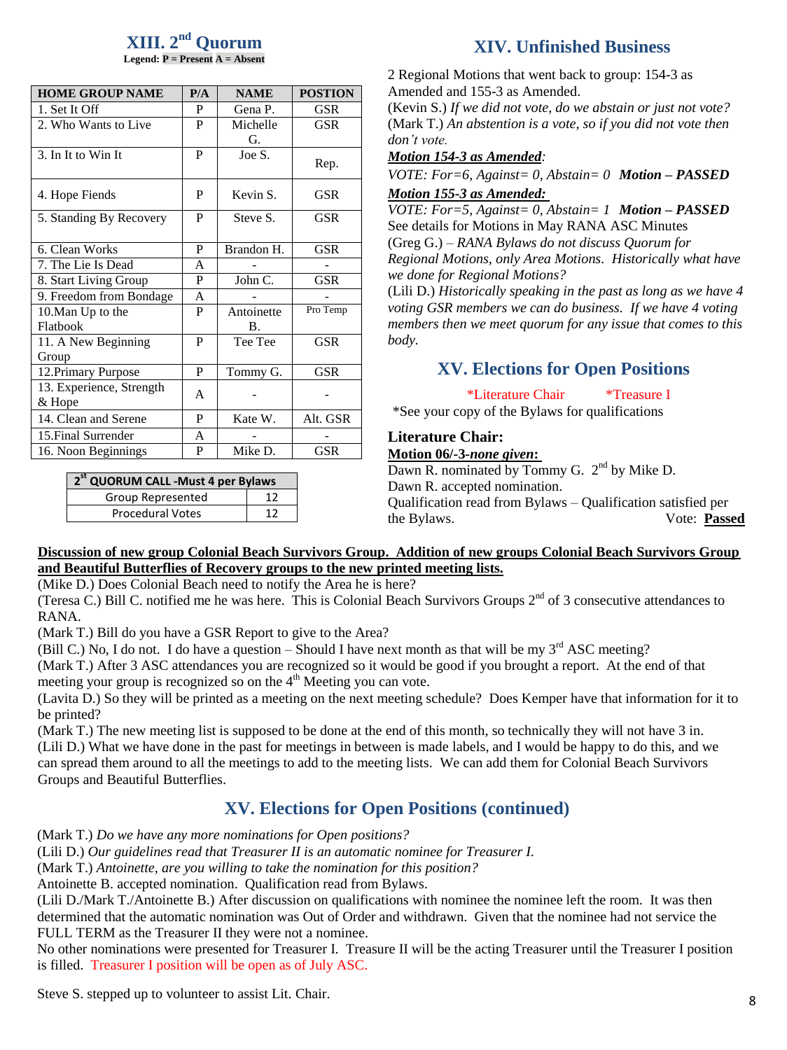#### **XIII. 2 nd Quorum Legend: P = Present A = Absent**

| <b>HOME GROUP NAME</b>   | P/A | <b>NAME</b> | <b>POSTION</b> |  |  |
|--------------------------|-----|-------------|----------------|--|--|
| 1. Set It Off            | P   | Gena P.     | <b>GSR</b>     |  |  |
| 2. Who Wants to Live     | P   | Michelle    | <b>GSR</b>     |  |  |
|                          |     | G.          |                |  |  |
| 3. In It to Win It       | P   | Joe S.      | Rep.           |  |  |
| 4. Hope Fiends           | P   | Kevin S.    | <b>GSR</b>     |  |  |
| 5. Standing By Recovery  | P   | Steve S.    | <b>GSR</b>     |  |  |
| 6. Clean Works           | P   | Brandon H.  | <b>GSR</b>     |  |  |
| 7. The Lie Is Dead       | A   |             |                |  |  |
| 8. Start Living Group    | P   | John C.     | <b>GSR</b>     |  |  |
| 9. Freedom from Bondage  | A   |             |                |  |  |
| 10. Man Up to the        | P   | Antoinette  | Pro Temp       |  |  |
| Flatbook                 |     | <b>B.</b>   |                |  |  |
| 11. A New Beginning      | P   | Tee Tee     | <b>GSR</b>     |  |  |
| Group                    |     |             |                |  |  |
| 12. Primary Purpose      | P   | Tommy G.    | <b>GSR</b>     |  |  |
| 13. Experience, Strength | A   |             |                |  |  |
| & Hope                   |     |             |                |  |  |
| 14. Clean and Serene     | P   | Kate W.     | Alt. GSR       |  |  |
| 15. Final Surrender      | A   |             |                |  |  |
| 16. Noon Beginnings      | P   | Mike D.     | <b>GSR</b>     |  |  |

## **XIV. Unfinished Business**

2 Regional Motions that went back to group: 154-3 as Amended and 155-3 as Amended.

(Kevin S.) *If we did not vote, do we abstain or just not vote?* (Mark T.) *An abstention is a vote, so if you did not vote then don't vote.*

#### *Motion 154-3 as Amended:*

*VOTE: For=6, Against= 0, Abstain= 0 Motion – PASSED Motion 155-3 as Amended:* 

*VOTE: For=5, Against= 0, Abstain= 1 Motion – PASSED* See details for Motions in May RANA ASC Minutes (Greg G.) – *RANA Bylaws do not discuss Quorum for Regional Motions, only Area Motions. Historically what have we done for Regional Motions?*

(Lili D.) *Historically speaking in the past as long as we have 4 voting GSR members we can do business. If we have 4 voting members then we meet quorum for any issue that comes to this body.*

## **XV. Elections for Open Positions**

\*Literature Chair \*Treasure I

\*See your copy of the Bylaws for qualifications

### **Literature Chair:**

#### **Motion 06/-3-***none given***:**

Dawn R. nominated by Tommy G.  $2<sup>nd</sup>$  by Mike D. Dawn R. accepted nomination. Qualification read from Bylaws – Qualification satisfied per the Bylaws. Vote: **Passed**

### **Discussion of new group Colonial Beach Survivors Group. Addition of new groups Colonial Beach Survivors Group and Beautiful Butterflies of Recovery groups to the new printed meeting lists.**

(Mike D.) Does Colonial Beach need to notify the Area he is here?

(Teresa C.) Bill C. notified me he was here. This is Colonial Beach Survivors Groups  $2^{nd}$  of 3 consecutive attendances to RANA.

(Mark T.) Bill do you have a GSR Report to give to the Area?

(Bill C.) No, I do not. I do have a question – Should I have next month as that will be my  $3^{rd}$  ASC meeting?

(Mark T.) After 3 ASC attendances you are recognized so it would be good if you brought a report. At the end of that meeting your group is recognized so on the  $4<sup>th</sup>$  Meeting you can vote.

(Lavita D.) So they will be printed as a meeting on the next meeting schedule? Does Kemper have that information for it to be printed?

(Mark T.) The new meeting list is supposed to be done at the end of this month, so technically they will not have 3 in. (Lili D.) What we have done in the past for meetings in between is made labels, and I would be happy to do this, and we can spread them around to all the meetings to add to the meeting lists. We can add them for Colonial Beach Survivors Groups and Beautiful Butterflies.

## **XV. Elections for Open Positions (continued)**

(Mark T.) *Do we have any more nominations for Open positions?* 

(Mark T.) Antoinette are you willing to take the nomination for this position? (Lili D.) *Our guidelines read that Treasurer II is an automatic nominee for Treasurer I.*

(Mark T.) *Antoinette, are you willing to take the nomination for this position?*

Antoinette B. accepted nomination. Qualification read from Bylaws.

(Lili D./Mark T./Antoinette B.) After discussion on qualifications with nominee the nominee left the room. It was then determined that the automatic nomination was Out of Order and withdrawn. Given that the nominee had not service the FULL TERM as the Treasurer II they were not a nominee.

No other nominations were presented for Treasurer I. Treasure II will be the acting Treasurer until the Treasurer I position is filled. Treasurer I position will be open as of July ASC.

Steve S. stepped up to volunteer to assist Lit. Chair.

**2 st QUORUM CALL -Must 4 per Bylaws** Group Represented | 12 Procedural Votes | 12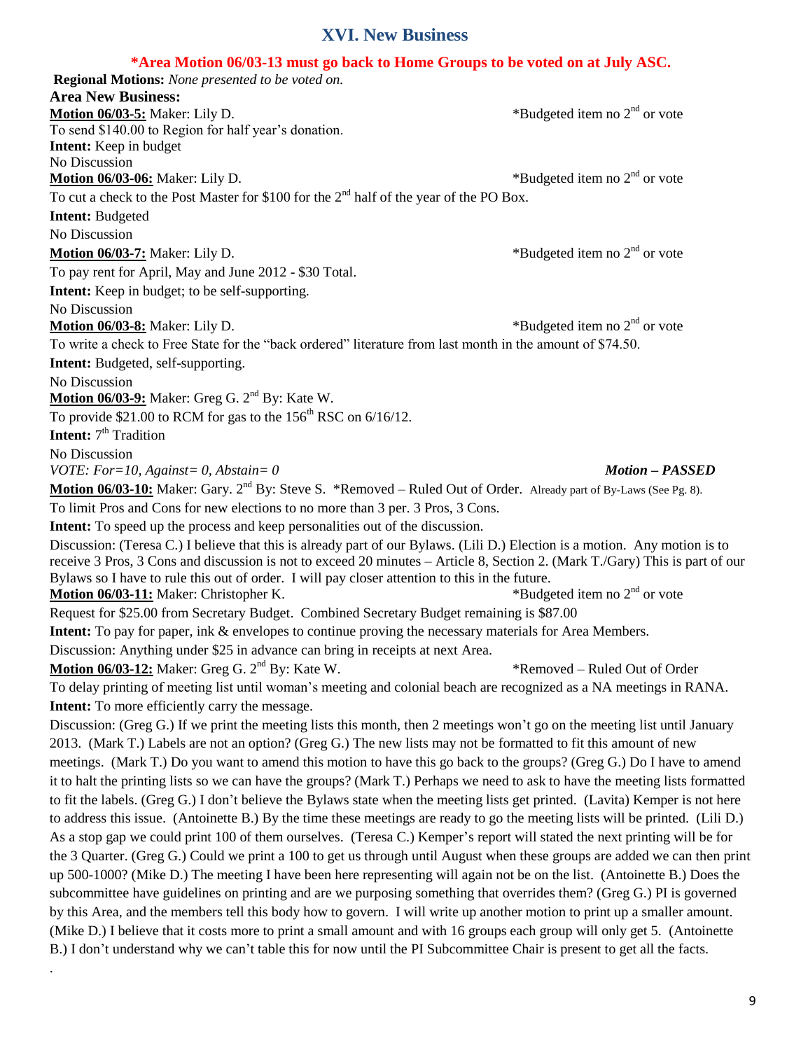## **XVI. New Business**

### **\*Area Motion 06/03-13 must go back to Home Groups to be voted on at July ASC.**

| "Area Motion vo/v3-13 must go dack to Home Groups to be voted on at July ASC.                                                  |                                 |
|--------------------------------------------------------------------------------------------------------------------------------|---------------------------------|
| <b>Regional Motions:</b> None presented to be voted on.                                                                        |                                 |
| <b>Area New Business:</b>                                                                                                      |                                 |
| Motion 06/03-5: Maker: Lily D.                                                                                                 | *Budgeted item no $2nd$ or vote |
| To send \$140.00 to Region for half year's donation.                                                                           |                                 |
| <b>Intent:</b> Keep in budget                                                                                                  |                                 |
| No Discussion                                                                                                                  |                                 |
| <b>Motion 06/03-06:</b> Maker: Lily D.                                                                                         | *Budgeted item no $2nd$ or vote |
| To cut a check to the Post Master for \$100 for the $2nd$ half of the year of the PO Box.                                      |                                 |
| <b>Intent: Budgeted</b>                                                                                                        |                                 |
| No Discussion                                                                                                                  |                                 |
| <b>Motion 06/03-7:</b> Maker: Lily D.                                                                                          | *Budgeted item no $2nd$ or vote |
| To pay rent for April, May and June 2012 - \$30 Total.                                                                         |                                 |
| <b>Intent:</b> Keep in budget; to be self-supporting.                                                                          |                                 |
| No Discussion                                                                                                                  |                                 |
| Motion 06/03-8: Maker: Lily D.                                                                                                 | *Budgeted item no $2nd$ or vote |
| To write a check to Free State for the "back ordered" literature from last month in the amount of \$74.50.                     |                                 |
| Intent: Budgeted, self-supporting.                                                                                             |                                 |
| No Discussion                                                                                                                  |                                 |
| Motion 06/03-9: Maker: Greg G. 2 <sup>nd</sup> By: Kate W.                                                                     |                                 |
| To provide \$21.00 to RCM for gas to the $156^{\text{th}}$ RSC on $6/16/12$ .                                                  |                                 |
| <b>Intent:</b> 7 <sup>th</sup> Tradition                                                                                       |                                 |
| No Discussion                                                                                                                  |                                 |
| VOTE: For=10, Against= 0, Abstain= 0                                                                                           | <b>Motion - PASSED</b>          |
| Motion 06/03-10: Maker: Gary. 2 <sup>nd</sup> By: Steve S. *Removed – Ruled Out of Order. Already part of By-Laws (See Pg. 8). |                                 |
| To limit Pros and Cons for new elections to no more than 3 per. 3 Pros, 3 Cons.                                                |                                 |
| Intent: To speed up the process and keep personalities out of the discussion.                                                  |                                 |
| Discussion: (Teresa C.) I believe that this is already part of our Bylaws. (Lili D.) Election is a motion. Any motion is to    |                                 |
| receive 3 Pros, 3 Cons and discussion is not to exceed 20 minutes - Article 8, Section 2. (Mark T./Gary) This is part of our   |                                 |
| Bylaws so I have to rule this out of order. I will pay closer attention to this in the future.                                 |                                 |
| Motion 06/03-11: Maker: Christopher K.                                                                                         | *Budgeted item no $2nd$ or vote |
| Request for \$25.00 from Secretary Budget. Combined Secretary Budget remaining is \$87.00                                      |                                 |
| <b>Intent:</b> To pay for paper, ink & envelopes to continue proving the necessary materials for Area Members.                 |                                 |
| Discussion: Anything under \$25 in advance can bring in receipts at next Area.                                                 |                                 |
| <b>Motion 06/03-12:</b> Maker: Greg G. 2 <sup>nd</sup> By: Kate W.                                                             | *Removed – Ruled Out of Order   |
| To delay printing of meeting list until woman's meeting and colonial beach are recognized as a NA meetings in RANA.            |                                 |
| <b>Intent:</b> To more efficiently carry the message.                                                                          |                                 |
| Discussion: (Greg G.) If we print the meeting lists this month, then 2 meetings won't go on the meeting list until January     |                                 |
| 2013. (Mark T.) Labels are not an option? (Greg G.) The new lists may not be formatted to fit this amount of new               |                                 |
| meetings. (Mark T.) Do you want to amend this motion to have this go back to the groups? (Greg G.) Do I have to amend          |                                 |
| it to halt the printing lists so we can have the groups? (Mark T.) Perhaps we need to ask to have the meeting lists formatted  |                                 |
| to fit the labels. (Greg G.) I don't believe the Bylaws state when the meeting lists get printed. (Lavita) Kemper is not here  |                                 |
| to address this issue. (Antoinette B.) By the time these meetings are ready to go the meeting lists will be printed. (Lili D.) |                                 |
| As a stop gap we could print 100 of them ourselves. (Teresa C.) Kemper's report will stated the next printing will be for      |                                 |
| the 3 Quarter. (Greg G.) Could we print a 100 to get us through until August when these groups are added we can then print     |                                 |
| up 500-1000? (Mike D.) The meeting I have been here representing will again not be on the list. (Antoinette B.) Does the       |                                 |
|                                                                                                                                |                                 |
| subcommittee have guidelines on printing and are we purposing something that overrides them? (Greg G.) PI is governed          |                                 |
| by this Area, and the members tell this body how to govern. I will write up another motion to print up a smaller amount.       |                                 |
| (Mike D.) I believe that it costs more to print a small amount and with 16 groups each group will only get 5. (Antoinette      |                                 |
| B.) I don't understand why we can't table this for now until the PI Subcommittee Chair is present to get all the facts.        |                                 |

.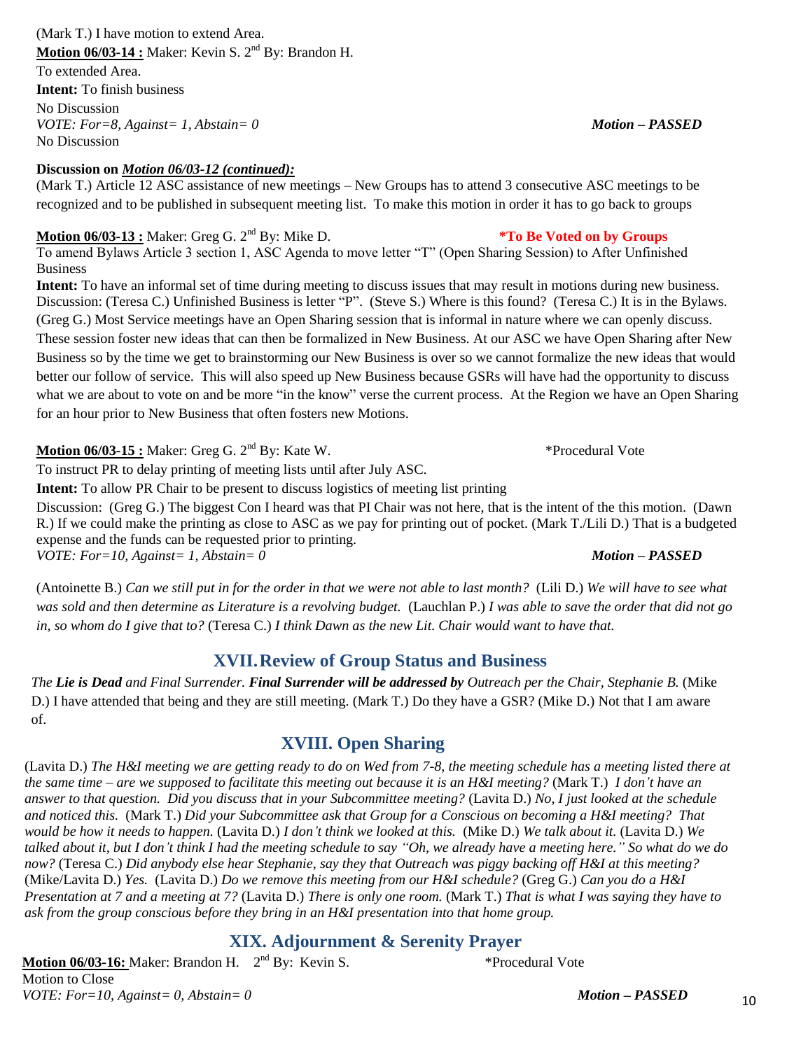#### 10

#### (Mark T.) I have motion to extend Area. **Motion 06/03-14 :** Maker: Kevin S. 2<sup>nd</sup> By: Brandon H.

To extended Area. **Intent:** To finish business

No Discussion *VOTE: For=8, Against= 1, Abstain= 0 Motion – PASSED* No Discussion

## **Discussion on** *Motion 06/03-12 (continued):*

(Mark T.) Article 12 ASC assistance of new meetings – New Groups has to attend 3 consecutive ASC meetings to be recognized and to be published in subsequent meeting list. To make this motion in order it has to go back to groups

## **Motion 06/03-13 :** Maker: Greg G. 2<sup>nd</sup> By: Mike D. **\*To Be Voted on by Groups**

To amend Bylaws Article 3 section 1, ASC Agenda to move letter "T" (Open Sharing Session) to After Unfinished Business

**Intent:** To have an informal set of time during meeting to discuss issues that may result in motions during new business. Discussion: (Teresa C.) Unfinished Business is letter "P". (Steve S.) Where is this found? (Teresa C.) It is in the Bylaws. (Greg G.) Most Service meetings have an Open Sharing session that is informal in nature where we can openly discuss. These session foster new ideas that can then be formalized in New Business. At our ASC we have Open Sharing after New Business so by the time we get to brainstorming our New Business is over so we cannot formalize the new ideas that would better our follow of service. This will also speed up New Business because GSRs will have had the opportunity to discuss what we are about to vote on and be more "in the know" verse the current process. At the Region we have an Open Sharing for an hour prior to New Business that often fosters new Motions.

**Motion 06/03-15 :** Maker: Greg G. 2nd By: Kate W. \*Procedural Vote

To instruct PR to delay printing of meeting lists until after July ASC.

**Intent:** To allow PR Chair to be present to discuss logistics of meeting list printing

Discussion: (Greg G.) The biggest Con I heard was that PI Chair was not here, that is the intent of the this motion. (Dawn R.) If we could make the printing as close to ASC as we pay for printing out of pocket. (Mark T./Lili D.) That is a budgeted expense and the funds can be requested prior to printing. *VOTE: For=10, Against= 1, Abstain= 0 Motion – PASSED*

(Antoinette B.) *Can we still put in for the order in that we were not able to last month?* (Lili D.) *We will have to see what was sold and then determine as Literature is a revolving budget.* (Lauchlan P.) *I was able to save the order that did not go in, so whom do I give that to?* (Teresa C.) *I think Dawn as the new Lit. Chair would want to have that.*

# **XVII.Review of Group Status and Business**

*The Lie is Dead and Final Surrender. Final Surrender will be addressed by Outreach per the Chair, Stephanie B.* (Mike D.) I have attended that being and they are still meeting. (Mark T.) Do they have a GSR? (Mike D.) Not that I am aware of.

# **XVIII. Open Sharing**

(Lavita D.) *The H&I meeting we are getting ready to do on Wed from 7-8, the meeting schedule has a meeting listed there at the same time – are we supposed to facilitate this meeting out because it is an H&I meeting?* (Mark T.) *I don't have an answer to that question. Did you discuss that in your Subcommittee meeting?* (Lavita D.) *No, I just looked at the schedule and noticed this.* (Mark T.) *Did your Subcommittee ask that Group for a Conscious on becoming a H&I meeting? That would be how it needs to happen.* (Lavita D.) *I don't think we looked at this.* (Mike D.) *We talk about it.* (Lavita D.) *We talked about it, but I don't think I had the meeting schedule to say "Oh, we already have a meeting here." So what do we do now?* (Teresa C.) *Did anybody else hear Stephanie, say they that Outreach was piggy backing off H&I at this meeting?* (Mike/Lavita D.) *Yes.* (Lavita D.) *Do we remove this meeting from our H&I schedule?* (Greg G.) *Can you do a H&I Presentation at 7 and a meeting at 7?* (Lavita D.) *There is only one room.* (Mark T.) *That is what I was saying they have to ask from the group conscious before they bring in an H&I presentation into that home group.*

# **XIX. Adjournment & Serenity Prayer**

**Motion 06/03-16:** Maker: Brandon H. 2 nd By: Kevin S. \*Procedural Vote Motion to Close *VOTE: For=10, Against= 0, Abstain= 0 Motion – PASSED*